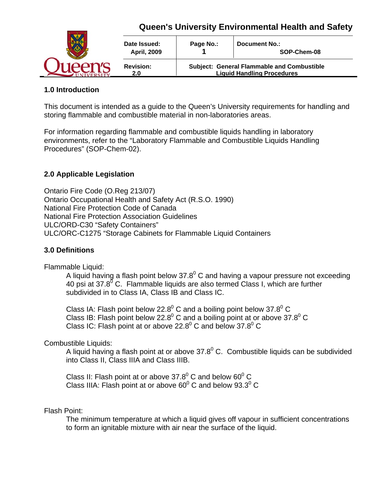

### **1.0 Introduction**

This document is intended as a guide to the Queen's University requirements for handling and storing flammable and combustible material in non-laboratories areas.

For information regarding flammable and combustible liquids handling in laboratory environments, refer to the "Laboratory Flammable and Combustible Liquids Handling Procedures" (SOP-Chem-02).

## **2.0 Applicable Legislation**

Ontario Fire Code (O.Reg 213/07) Ontario Occupational Health and Safety Act (R.S.O. 1990) National Fire Protection Code of Canada National Fire Protection Association Guidelines ULC/ORD-C30 "Safety Containers" ULC/ORC-C1275 "Storage Cabinets for Flammable Liquid Containers

#### **3.0 Definitions**

Flammable Liquid:

A liquid having a flash point below 37.8 $^{0}$  C and having a vapour pressure not exceeding 40 psi at 37.8 $\rm{^{7}C}$ . Flammable liquids are also termed Class I, which are further subdivided in to Class IA, Class IB and Class IC.

Class IA: Flash point below 22.8 $^{0}$  C and a boiling point below 37.8 $^{0}$  C Class IB: Flash point below 22.8 $^{0}$  C and a boiling point at or above 37.8 $^{0}$  C Class IC: Flash point at or above 22.8 $^0$  C and below 37.8 $^0$  C

Combustible Liquids:

A liquid having a flash point at or above  $37.8^{\circ}$  C. Combustible liquids can be subdivided into Class II, Class IIIA and Class IIIB.

Class II: Flash point at or above 37.8 $^{0}$  C and below 60 $^{0}$  C Class IIIA: Flash point at or above 60 $^0$  C and below 93.3 $^0$  C

#### Flash Point:

The minimum temperature at which a liquid gives off vapour in sufficient concentrations to form an ignitable mixture with air near the surface of the liquid.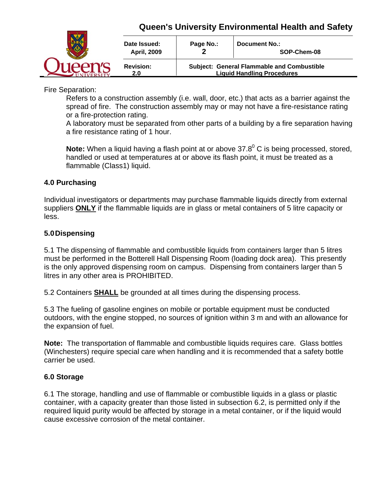

Fire Separation:

Refers to a construction assembly (i.e. wall, door, etc.) that acts as a barrier against the spread of fire. The construction assembly may or may not have a fire-resistance rating or a fire-protection rating.

A laboratory must be separated from other parts of a building by a fire separation having a fire resistance rating of 1 hour.

Note: When a liquid having a flash point at or above 37.8<sup>0</sup> C is being processed, stored, handled or used at temperatures at or above its flash point, it must be treated as a flammable (Class1) liquid.

### **4.0 Purchasing**

Individual investigators or departments may purchase flammable liquids directly from external suppliers **ONLY** if the flammable liquids are in glass or metal containers of 5 litre capacity or less.

### **5.0 Dispensing**

5.1 The dispensing of flammable and combustible liquids from containers larger than 5 litres must be performed in the Botterell Hall Dispensing Room (loading dock area). This presently is the only approved dispensing room on campus. Dispensing from containers larger than 5 litres in any other area is PROHIBITED.

5.2 Containers **SHALL** be grounded at all times during the dispensing process.

5.3 The fueling of gasoline engines on mobile or portable equipment must be conducted outdoors, with the engine stopped, no sources of ignition within 3 m and with an allowance for the expansion of fuel.

**Note:** The transportation of flammable and combustible liquids requires care. Glass bottles (Winchesters) require special care when handling and it is recommended that a safety bottle carrier be used.

#### **6.0 Storage**

6.1 The storage, handling and use of flammable or combustible liquids in a glass or plastic container, with a capacity greater than those listed in subsection 6.2, is permitted only if the required liquid purity would be affected by storage in a metal container, or if the liquid would cause excessive corrosion of the metal container.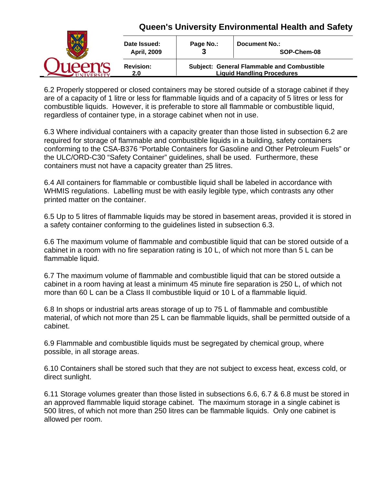|  | Date Issued:<br><b>April, 2009</b> | Page No.:<br>o                                                                         | <b>Document No.:</b><br>SOP-Chem-08 |
|--|------------------------------------|----------------------------------------------------------------------------------------|-------------------------------------|
|  | <b>Revision:</b><br>2.0            | <b>Subject: General Flammable and Combustible</b><br><b>Liquid Handling Procedures</b> |                                     |

6.2 Properly stoppered or closed containers may be stored outside of a storage cabinet if they are of a capacity of 1 litre or less for flammable liquids and of a capacity of 5 litres or less for combustible liquids. However, it is preferable to store all flammable or combustible liquid, regardless of container type, in a storage cabinet when not in use.

6.3 Where individual containers with a capacity greater than those listed in subsection 6.2 are required for storage of flammable and combustible liquids in a building, safety containers conforming to the CSA-B376 "Portable Containers for Gasoline and Other Petroleum Fuels" or the ULC/ORD-C30 "Safety Container" guidelines, shall be used. Furthermore, these containers must not have a capacity greater than 25 litres.

6.4 All containers for flammable or combustible liquid shall be labeled in accordance with WHMIS regulations. Labelling must be with easily legible type, which contrasts any other printed matter on the container.

6.5 Up to 5 litres of flammable liquids may be stored in basement areas, provided it is stored in a safety container conforming to the guidelines listed in subsection 6.3.

6.6 The maximum volume of flammable and combustible liquid that can be stored outside of a cabinet in a room with no fire separation rating is 10 L, of which not more than 5 L can be flammable liquid.

6.7 The maximum volume of flammable and combustible liquid that can be stored outside a cabinet in a room having at least a minimum 45 minute fire separation is 250 L, of which not more than 60 L can be a Class II combustible liquid or 10 L of a flammable liquid.

6.8 In shops or industrial arts areas storage of up to 75 L of flammable and combustible material, of which not more than 25 L can be flammable liquids, shall be permitted outside of a cabinet.

6.9 Flammable and combustible liquids must be segregated by chemical group, where possible, in all storage areas.

6.10 Containers shall be stored such that they are not subject to excess heat, excess cold, or direct sunlight.

6.11 Storage volumes greater than those listed in subsections 6.6, 6.7 & 6.8 must be stored in an approved flammable liquid storage cabinet. The maximum storage in a single cabinet is 500 litres, of which not more than 250 litres can be flammable liquids. Only one cabinet is allowed per room.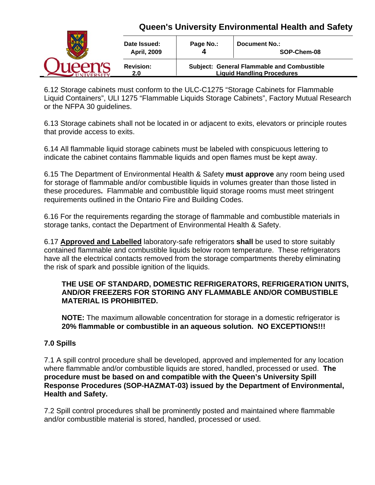|  | Date Issued:<br><b>April, 2009</b> | Page No.:                                                                              | <b>Document No.:</b><br>SOP-Chem-08 |
|--|------------------------------------|----------------------------------------------------------------------------------------|-------------------------------------|
|  | <b>Revision:</b><br>2.0            | <b>Subject: General Flammable and Combustible</b><br><b>Liquid Handling Procedures</b> |                                     |

6.12 Storage cabinets must conform to the ULC-C1275 "Storage Cabinets for Flammable Liquid Containers", ULI 1275 "Flammable Liquids Storage Cabinets", Factory Mutual Research or the NFPA 30 guidelines.

6.13 Storage cabinets shall not be located in or adjacent to exits, elevators or principle routes that provide access to exits.

6.14 All flammable liquid storage cabinets must be labeled with conspicuous lettering to indicate the cabinet contains flammable liquids and open flames must be kept away.

6.15 The Department of Environmental Health & Safety **must approve** any room being used for storage of flammable and/or combustible liquids in volumes greater than those listed in these procedures**.** Flammable and combustible liquid storage rooms must meet stringent requirements outlined in the Ontario Fire and Building Codes.

6.16 For the requirements regarding the storage of flammable and combustible materials in storage tanks, contact the Department of Environmental Health & Safety.

6.17 **Approved and Labelled** laboratory-safe refrigerators **shall** be used to store suitably contained flammable and combustible liquids below room temperature. These refrigerators have all the electrical contacts removed from the storage compartments thereby eliminating the risk of spark and possible ignition of the liquids.

### **THE USE OF STANDARD, DOMESTIC REFRIGERATORS, REFRIGERATION UNITS, AND/OR FREEZERS FOR STORING ANY FLAMMABLE AND/OR COMBUSTIBLE MATERIAL IS PROHIBITED.**

**NOTE:** The maximum allowable concentration for storage in a domestic refrigerator is **20% flammable or combustible in an aqueous solution. NO EXCEPTIONS!!!** 

## **7.0 Spills**

7.1 A spill control procedure shall be developed, approved and implemented for any location where flammable and/or combustible liquids are stored, handled, processed or used. **The procedure must be based on and compatible with the Queen's University Spill Response Procedures (SOP-HAZMAT-03) issued by the Department of Environmental, Health and Safety.**

7.2 Spill control procedures shall be prominently posted and maintained where flammable and/or combustible material is stored, handled, processed or used.